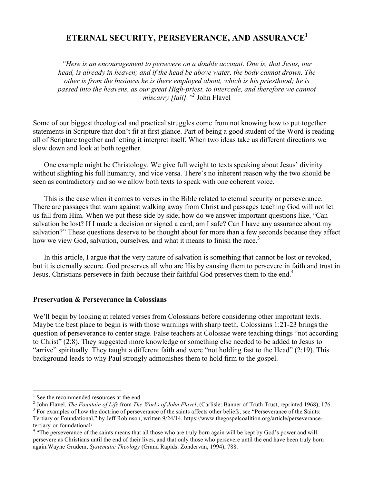# **ETERNAL SECURITY, PERSEVERANCE, AND ASSURANCE1**

*"Here is an encouragement to persevere on a double account. One is, that Jesus, our head, is already in heaven; and if the head be above water, the body cannot drown. The other is from the business he is there employed about, which is his priesthood; he is passed into the heavens, as our great High-priest, to intercede, and therefore we cannot miscarry [fail]."2* John Flavel

Some of our biggest theological and practical struggles come from not knowing how to put together statements in Scripture that don't fit at first glance. Part of being a good student of the Word is reading all of Scripture together and letting it interpret itself. When two ideas take us different directions we slow down and look at both together.

One example might be Christology. We give full weight to texts speaking about Jesus' divinity without slighting his full humanity, and vice versa. There's no inherent reason why the two should be seen as contradictory and so we allow both texts to speak with one coherent voice.

This is the case when it comes to verses in the Bible related to eternal security or perseverance. There are passages that warn against walking away from Christ and passages teaching God will not let us fall from Him. When we put these side by side, how do we answer important questions like, "Can salvation be lost? If I made a decision or signed a card, am I safe? Can I have any assurance about my salvation?" These questions deserve to be thought about for more than a few seconds because they affect how we view God, salvation, ourselves, and what it means to finish the race.<sup>3</sup>

In this article, I argue that the very nature of salvation is something that cannot be lost or revoked, but it is eternally secure. God preserves all who are His by causing them to persevere in faith and trust in Jesus. Christians persevere in faith because their faithful God preserves them to the end.<sup>4</sup>

### **Preservation & Perseverance in Colossians**

We'll begin by looking at related verses from Colossians before considering other important texts. Maybe the best place to begin is with those warnings with sharp teeth. Colossians 1:21-23 brings the question of perseverance to center stage. False teachers at Colossae were teaching things "not according to Christ" (2:8). They suggested more knowledge or something else needed to be added to Jesus to "arrive" spiritually. They taught a different faith and were "not holding fast to the Head" (2:19). This background leads to why Paul strongly admonishes them to hold firm to the gospel.

<sup>&</sup>lt;sup>1</sup> See the recommended resources at the end.<br><sup>2</sup> John Flavel, *The Fountain of Life* from *The Works of John Flavel*, (Carlisle: Banner of Truth Trust, reprinted 1968), 176.<br><sup>3</sup> For examples of how the doctrine of persev

Tertiary or Foundational," by Jeff Robinson, written 9/24/14. https://www.thegospelcoalition.org/article/perseverance-

tertiary-or-foundational/<br><sup>4</sup> "The perseverance of the saints means that all those who are truly born again will be kept by God's power and will persevere as Christians until the end of their lives, and that only those who persevere until the end have been truly born again.Wayne Grudem, *Systematic Theology* (Grand Rapids: Zondervan, 1994), 788.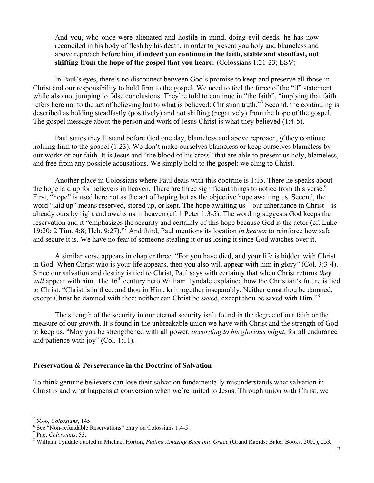And you, who once were alienated and hostile in mind, doing evil deeds, he has now reconciled in his body of flesh by his death, in order to present you holy and blameless and above reproach before him, **if indeed you continue in the faith, stable and steadfast, not shifting from the hope of the gospel that you heard**. (Colossians 1:21-23; ESV)

In Paul's eyes, there's no disconnect between God's promise to keep and preserve all those in Christ and our responsibility to hold firm to the gospel. We need to feel the force of the "if" statement while also not jumping to false conclusions. They're told to continue in "the faith", "implying that faith" refers here not to the act of believing but to what is believed: Christian truth."<sup>5</sup> Second, the continuing is described as holding steadfastly (positively) and not shifting (negatively) from the hope of the gospel. The gospel message about the person and work of Jesus Christ is what they believed (1:4-5).

Paul states they'll stand before God one day, blameless and above reproach, *if* they continue holding firm to the gospel (1:23). We don't make ourselves blameless or keep ourselves blameless by our works or our faith. It is Jesus and "the blood of his cross" that are able to present us holy, blameless, and free from any possible accusations. We simply hold to the gospel; we cling to Christ.

Another place in Colossians where Paul deals with this doctrine is 1:15. There he speaks about the hope laid up for believers in heaven. There are three significant things to notice from this verse.<sup>6</sup> First, "hope" is used here not as the act of hoping but as the objective hope awaiting us. Second, the word "laid up" means reserved, stored up, or kept. The hope awaiting us—our inheritance in Christ—is already ours by right and awaits us in heaven (cf. 1 Peter 1:3-5). The wording suggests God keeps the reservation and it "emphasizes the security and certainly of this hope because God is the actor (cf. Luke 19:20; 2 Tim. 4:8; Heb. 9:27)." <sup>7</sup> And third, Paul mentions its location *in heaven* to reinforce how safe and secure it is. We have no fear of someone stealing it or us losing it since God watches over it.

A similar verse appears in chapter three. "For you have died, and your life is hidden with Christ in God. When Christ who is your life appears, then you also will appear with him in glory" (Col. 3:3-4). Since our salvation and destiny is tied to Christ, Paul says with certainty that when Christ returns *they will* appear with him. The 16<sup>th</sup> century hero William Tyndale explained how the Christian's future is tied to Christ. "Christ is in thee, and thou in Him, knit together inseparably. Neither canst thou be damned, except Christ be damned with thee: neither can Christ be saved, except thou be saved with Him."<sup>8</sup>

The strength of the security in our eternal security isn't found in the degree of our faith or the measure of our growth. It's found in the unbreakable union we have with Christ and the strength of God to keep us. "May you be strengthened with all power, *according to his glorious might*, for all endurance and patience with joy" (Col. 1:11).

#### **Preservation & Perseverance in the Doctrine of Salvation**

To think genuine believers can lose their salvation fundamentally misunderstands what salvation in Christ is and what happens at conversion when we're united to Jesus. Through union with Christ, we

<sup>&</sup>lt;sup>5</sup> Moo, *Colossians*, 145.<br><sup>6</sup> See "Non-refundable Reservations" entry on Colossians 1:4-5.<br><sup>7</sup> Pao, *Colossians*, 53.<br><sup>8</sup> William Tyndale quoted in Michael Horton, *Putting Amazing Back into Grace* (Grand Rapids: Baker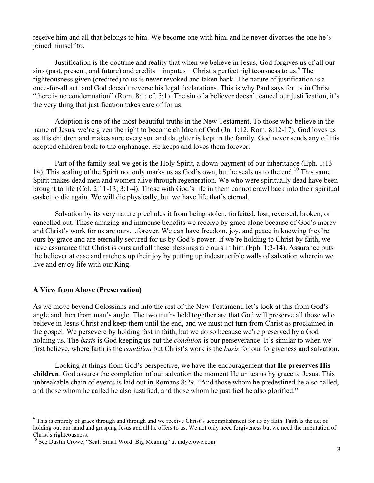receive him and all that belongs to him. We become one with him, and he never divorces the one he's joined himself to.

Justification is the doctrine and reality that when we believe in Jesus, God forgives us of all our sins (past, present, and future) and credits—imputes—Christ's perfect righteousness to us.<sup>9</sup> The righteousness given (credited) to us is never revoked and taken back. The nature of justification is a once-for-all act, and God doesn't reverse his legal declarations. This is why Paul says for us in Christ "there is no condemnation" (Rom. 8:1; cf. 5:1). The sin of a believer doesn't cancel our justification, it's the very thing that justification takes care of for us.

Adoption is one of the most beautiful truths in the New Testament. To those who believe in the name of Jesus, we're given the right to become children of God (Jn. 1:12; Rom. 8:12-17). God loves us as His children and makes sure every son and daughter is kept in the family. God never sends any of His adopted children back to the orphanage. He keeps and loves them forever.

Part of the family seal we get is the Holy Spirit, a down-payment of our inheritance (Eph. 1:13- 14). This sealing of the Spirit not only marks us as God's own, but he seals us to the end.<sup>10</sup> This same Spirit makes dead men and women alive through regeneration. We who were spiritually dead have been brought to life (Col. 2:11-13; 3:1-4). Those with God's life in them cannot crawl back into their spiritual casket to die again. We will die physically, but we have life that's eternal.

Salvation by its very nature precludes it from being stolen, forfeited, lost, reversed, broken, or cancelled out. These amazing and immense benefits we receive by grace alone because of God's mercy and Christ's work for us are ours…forever. We can have freedom, joy, and peace in knowing they're ours by grace and are eternally secured for us by God's power. If we're holding to Christ by faith, we have assurance that Christ is ours and all these blessings are ours in him (Eph. 1:3-14). Assurance puts the believer at ease and ratchets up their joy by putting up indestructible walls of salvation wherein we live and enjoy life with our King.

## **A View from Above (Preservation)**

As we move beyond Colossians and into the rest of the New Testament, let's look at this from God's angle and then from man's angle. The two truths held together are that God will preserve all those who believe in Jesus Christ and keep them until the end, and we must not turn from Christ as proclaimed in the gospel. We persevere by holding fast in faith, but we do so because we're preserved by a God holding us. The *basis* is God keeping us but the *condition* is our perseverance. It's similar to when we first believe, where faith is the *condition* but Christ's work is the *basis* for our forgiveness and salvation.

Looking at things from God's perspective, we have the encouragement that **He preserves His children**. God assures the completion of our salvation the moment He unites us by grace to Jesus. This unbreakable chain of events is laid out in Romans 8:29. "And those whom he predestined he also called, and those whom he called he also justified, and those whom he justified he also glorified."

<sup>&</sup>lt;sup>9</sup> This is entirely of grace through and through and we receive Christ's accomplishment for us by faith. Faith is the act of holding out our hand and grasping Jesus and all he offers to us. We not only need forgiveness but we need the imputation of

Christ's righteousness.<br><sup>10</sup> See Dustin Crowe, "Seal: Small Word, Big Meaning" at indycrowe.com.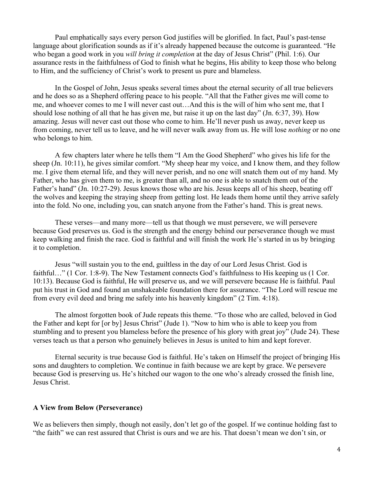Paul emphatically says every person God justifies will be glorified. In fact, Paul's past-tense language about glorification sounds as if it's already happened because the outcome is guaranteed. "He who began a good work in you *will bring it completion* at the day of Jesus Christ" (Phil. 1:6). Our assurance rests in the faithfulness of God to finish what he begins, His ability to keep those who belong to Him, and the sufficiency of Christ's work to present us pure and blameless.

In the Gospel of John, Jesus speaks several times about the eternal security of all true believers and he does so as a Shepherd offering peace to his people. "All that the Father gives me will come to me, and whoever comes to me I will never cast out…And this is the will of him who sent me, that I should lose nothing of all that he has given me, but raise it up on the last day" (Jn. 6:37, 39). How amazing. Jesus will never cast out those who come to him. He'll never push us away, never keep us from coming, never tell us to leave, and he will never walk away from us. He will lose *nothing* or no one who belongs to him.

A few chapters later where he tells them "I Am the Good Shepherd" who gives his life for the sheep (Jn. 10:11), he gives similar comfort. "My sheep hear my voice, and I know them, and they follow me. I give them eternal life, and they will never perish, and no one will snatch them out of my hand. My Father, who has given them to me, is greater than all, and no one is able to snatch them out of the Father's hand" (Jn. 10:27-29). Jesus knows those who are his. Jesus keeps all of his sheep, beating off the wolves and keeping the straying sheep from getting lost. He leads them home until they arrive safely into the fold. No one, including you, can snatch anyone from the Father's hand. This is great news.

These verses—and many more—tell us that though we must persevere, we will persevere because God preserves us. God is the strength and the energy behind our perseverance though we must keep walking and finish the race. God is faithful and will finish the work He's started in us by bringing it to completion.

Jesus "will sustain you to the end, guiltless in the day of our Lord Jesus Christ. God is faithful..." (1 Cor. 1:8-9). The New Testament connects God's faithfulness to His keeping us (1 Cor. 10:13). Because God is faithful, He will preserve us, and we will persevere because He is faithful. Paul put his trust in God and found an unshakeable foundation there for assurance. "The Lord will rescue me from every evil deed and bring me safely into his heavenly kingdom" (2 Tim. 4:18).

The almost forgotten book of Jude repeats this theme. "To those who are called, beloved in God the Father and kept for [or by] Jesus Christ" (Jude 1). "Now to him who is able to keep you from stumbling and to present you blameless before the presence of his glory with great joy" (Jude 24). These verses teach us that a person who genuinely believes in Jesus is united to him and kept forever.

Eternal security is true because God is faithful. He's taken on Himself the project of bringing His sons and daughters to completion. We continue in faith because we are kept by grace. We persevere because God is preserving us. He's hitched our wagon to the one who's already crossed the finish line, Jesus Christ.

#### **A View from Below (Perseverance)**

We as believers then simply, though not easily, don't let go of the gospel. If we continue holding fast to "the faith" we can rest assured that Christ is ours and we are his. That doesn't mean we don't sin, or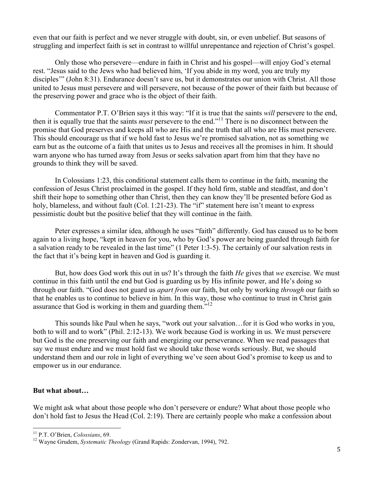even that our faith is perfect and we never struggle with doubt, sin, or even unbelief. But seasons of struggling and imperfect faith is set in contrast to willful unrepentance and rejection of Christ's gospel.

Only those who persevere—endure in faith in Christ and his gospel—will enjoy God's eternal rest. "Jesus said to the Jews who had believed him, 'If you abide in my word, you are truly my disciples'" (John 8:31). Endurance doesn't save us, but it demonstrates our union with Christ. All those united to Jesus must persevere and will persevere, not because of the power of their faith but because of the preserving power and grace who is the object of their faith.

Commentator P.T. O'Brien says it this way: "If it is true that the saints *will* persevere to the end, then it is equally true that the saints *must* persevere to the end."<sup>11</sup> There is no disconnect between the promise that God preserves and keeps all who are His and the truth that all who are His must persevere. This should encourage us that if we hold fast to Jesus we're promised salvation, not as something we earn but as the outcome of a faith that unites us to Jesus and receives all the promises in him. It should warn anyone who has turned away from Jesus or seeks salvation apart from him that they have no grounds to think they will be saved.

In Colossians 1:23, this conditional statement calls them to continue in the faith, meaning the confession of Jesus Christ proclaimed in the gospel. If they hold firm, stable and steadfast, and don't shift their hope to something other than Christ, then they can know they'll be presented before God as holy, blameless, and without fault (Col. 1:21-23). The "if" statement here isn't meant to express pessimistic doubt but the positive belief that they will continue in the faith.

Peter expresses a similar idea, although he uses "faith" differently. God has caused us to be born again to a living hope, "kept in heaven for you, who by God's power are being guarded through faith for a salvation ready to be revealed in the last time" (1 Peter 1:3-5). The certainly of our salvation rests in the fact that it's being kept in heaven and God is guarding it.

But, how does God work this out in us? It's through the faith *He* gives that *we* exercise. We must continue in this faith until the end but God is guarding us by His infinite power, and He's doing so through our faith. "God does not guard us *apart from* our faith, but only by working *through* our faith so that he enables us to continue to believe in him. In this way, those who continue to trust in Christ gain assurance that God is working in them and guarding them.<sup>712</sup>

This sounds like Paul when he says, "work out your salvation…for it is God who works in you, both to will and to work" (Phil. 2:12-13). We work because God is working in us. We must persevere but God is the one preserving our faith and energizing our perseverance. When we read passages that say we must endure and we must hold fast we should take those words seriously. But, we should understand them and our role in light of everything we've seen about God's promise to keep us and to empower us in our endurance.

#### **But what about…**

We might ask what about those people who don't persevere or endure? What about those people who don't hold fast to Jesus the Head (Col. 2:19). There are certainly people who make a confession about

<sup>&</sup>lt;sup>11</sup> P.T. O'Brien, *Colossians*, 69.<br><sup>12</sup> Wayne Grudem, *Systematic Theology* (Grand Rapids: Zondervan, 1994), 792.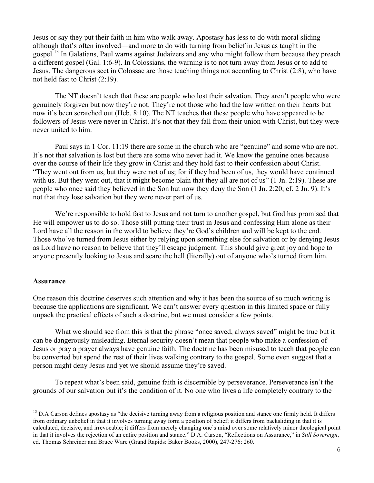Jesus or say they put their faith in him who walk away. Apostasy has less to do with moral sliding although that's often involved—and more to do with turning from belief in Jesus as taught in the gospel.13 In Galatians, Paul warns against Judaizers and any who might follow them because they preach a different gospel (Gal. 1:6-9). In Colossians, the warning is to not turn away from Jesus or to add to Jesus. The dangerous sect in Colossae are those teaching things not according to Christ (2:8), who have not held fast to Christ (2:19).

The NT doesn't teach that these are people who lost their salvation. They aren't people who were genuinely forgiven but now they're not. They're not those who had the law written on their hearts but now it's been scratched out (Heb. 8:10). The NT teaches that these people who have appeared to be followers of Jesus were never in Christ. It's not that they fall from their union with Christ, but they were never united to him.

Paul says in 1 Cor. 11:19 there are some in the church who are "genuine" and some who are not. It's not that salvation is lost but there are some who never had it. We know the genuine ones because over the course of their life they grow in Christ and they hold fast to their confession about Christ. "They went out from us, but they were not of us; for if they had been of us, they would have continued with us. But they went out, that it might become plain that they all are not of us" (1 Jn. 2:19). These are people who once said they believed in the Son but now they deny the Son (1 Jn. 2:20; cf. 2 Jn. 9). It's not that they lose salvation but they were never part of us.

We're responsible to hold fast to Jesus and not turn to another gospel, but God has promised that He will empower us to do so. Those still putting their trust in Jesus and confessing Him alone as their Lord have all the reason in the world to believe they're God's children and will be kept to the end. Those who've turned from Jesus either by relying upon something else for salvation or by denying Jesus as Lord have no reason to believe that they'll escape judgment. This should give great joy and hope to anyone presently looking to Jesus and scare the hell (literally) out of anyone who's turned from him.

#### **Assurance**

One reason this doctrine deserves such attention and why it has been the source of so much writing is because the applications are significant. We can't answer every question in this limited space or fully unpack the practical effects of such a doctrine, but we must consider a few points.

What we should see from this is that the phrase "once saved, always saved" might be true but it can be dangerously misleading. Eternal security doesn't mean that people who make a confession of Jesus or pray a prayer always have genuine faith. The doctrine has been misused to teach that people can be converted but spend the rest of their lives walking contrary to the gospel. Some even suggest that a person might deny Jesus and yet we should assume they're saved.

To repeat what's been said, genuine faith is discernible by perseverance. Perseverance isn't the grounds of our salvation but it's the condition of it. No one who lives a life completely contrary to the

 $13$  D.A Carson defines apostasy as "the decisive turning away from a religious position and stance one firmly held. It differs from ordinary unbelief in that it involves turning away form a position of belief; it differs from backsliding in that it is calculated, decisive, and irrevocable; it differs from merely changing one's mind over some relatively minor theological point in that it involves the rejection of an entire position and stance." D.A. Carson, "Reflections on Assurance," in *Still Sovereign*, ed. Thomas Schreiner and Bruce Ware (Grand Rapids: Baker Books, 2000), 247-276: 260.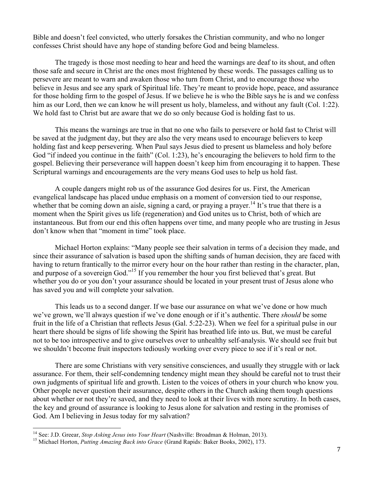Bible and doesn't feel convicted, who utterly forsakes the Christian community, and who no longer confesses Christ should have any hope of standing before God and being blameless.

The tragedy is those most needing to hear and heed the warnings are deaf to its shout, and often those safe and secure in Christ are the ones most frightened by these words. The passages calling us to persevere are meant to warn and awaken those who turn from Christ, and to encourage those who believe in Jesus and see any spark of Spiritual life. They're meant to provide hope, peace, and assurance for those holding firm to the gospel of Jesus. If we believe he is who the Bible says he is and we confess him as our Lord, then we can know he will present us holy, blameless, and without any fault (Col. 1:22). We hold fast to Christ but are aware that we do so only because God is holding fast to us.

This means the warnings are true in that no one who fails to persevere or hold fast to Christ will be saved at the judgment day, but they are also the very means used to encourage believers to keep holding fast and keep persevering. When Paul says Jesus died to present us blameless and holy before God "if indeed you continue in the faith" (Col. 1:23), he's encouraging the believers to hold firm to the gospel. Believing their perseverance will happen doesn't keep him from encouraging it to happen. These Scriptural warnings and encouragements are the very means God uses to help us hold fast.

A couple dangers might rob us of the assurance God desires for us. First, the American evangelical landscape has placed undue emphasis on a moment of conversion tied to our response, whether that be coming down an aisle, signing a card, or praying a prayer.<sup>14</sup> It's true that there is a moment when the Spirit gives us life (regeneration) and God unites us to Christ, both of which are instantaneous. But from our end this often happens over time, and many people who are trusting in Jesus don't know when that "moment in time" took place.

Michael Horton explains: "Many people see their salvation in terms of a decision they made, and since their assurance of salvation is based upon the shifting sands of human decision, they are faced with having to return frantically to the mirror every hour on the hour rather than resting in the character, plan, and purpose of a sovereign God."<sup>15</sup> If you remember the hour you first believed that's great. But whether you do or you don't your assurance should be located in your present trust of Jesus alone who has saved you and will complete your salvation.

This leads us to a second danger. If we base our assurance on what we've done or how much we've grown, we'll always question if we've done enough or if it's authentic. There *should* be some fruit in the life of a Christian that reflects Jesus (Gal. 5:22-23). When we feel for a spiritual pulse in our heart there should be signs of life showing the Spirit has breathed life into us. But, we must be careful not to be too introspective and to give ourselves over to unhealthy self-analysis. We should see fruit but we shouldn't become fruit inspectors tediously working over every piece to see if it's real or not.

There are some Christians with very sensitive consciences, and usually they struggle with or lack assurance. For them, their self-condemning tendency might mean they should be careful not to trust their own judgments of spiritual life and growth. Listen to the voices of others in your church who know you. Other people never question their assurance, despite others in the Church asking them tough questions about whether or not they're saved, and they need to look at their lives with more scrutiny. In both cases, the key and ground of assurance is looking to Jesus alone for salvation and resting in the promises of God. Am I believing in Jesus today for my salvation?

<sup>&</sup>lt;sup>14</sup> See: J.D. Greear, *Stop Asking Jesus into Your Heart* (Nashville: Broadman & Holman, 2013).<br><sup>15</sup> Michael Horton, *Putting Amazing Back into Grace* (Grand Rapids: Baker Books, 2002), 173.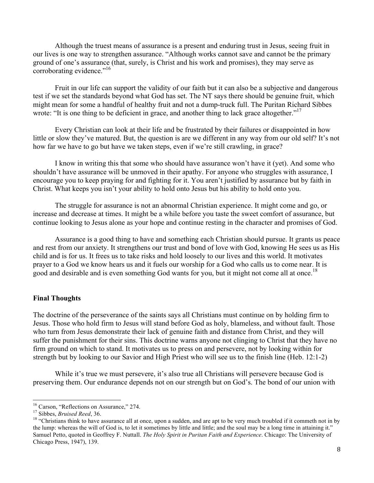Although the truest means of assurance is a present and enduring trust in Jesus, seeing fruit in our lives is one way to strengthen assurance. "Although works cannot save and cannot be the primary ground of one's assurance (that, surely, is Christ and his work and promises), they may serve as corroborating evidence."<sup>16</sup>

Fruit in our life can support the validity of our faith but it can also be a subjective and dangerous test if we set the standards beyond what God has set. The NT says there should be genuine fruit, which might mean for some a handful of healthy fruit and not a dump-truck full. The Puritan Richard Sibbes wrote: "It is one thing to be deficient in grace, and another thing to lack grace altogether."<sup>17</sup>

Every Christian can look at their life and be frustrated by their failures or disappointed in how little or slow they've matured. But, the question is are we different in any way from our old self? It's not how far we have to go but have we taken steps, even if we're still crawling, in grace?

I know in writing this that some who should have assurance won't have it (yet). And some who shouldn't have assurance will be unmoved in their apathy. For anyone who struggles with assurance, I encourage you to keep praying for and fighting for it. You aren't justified by assurance but by faith in Christ. What keeps you isn't your ability to hold onto Jesus but his ability to hold onto you.

The struggle for assurance is not an abnormal Christian experience. It might come and go, or increase and decrease at times. It might be a while before you taste the sweet comfort of assurance, but continue looking to Jesus alone as your hope and continue resting in the character and promises of God.

Assurance is a good thing to have and something each Christian should pursue. It grants us peace and rest from our anxiety. It strengthens our trust and bond of love with God, knowing He sees us as His child and is for us. It frees us to take risks and hold loosely to our lives and this world. It motivates prayer to a God we know hears us and it fuels our worship for a God who calls us to come near. It is good and desirable and is even something God wants for you, but it might not come all at once.<sup>18</sup>

## **Final Thoughts**

The doctrine of the perseverance of the saints says all Christians must continue on by holding firm to Jesus. Those who hold firm to Jesus will stand before God as holy, blameless, and without fault. Those who turn from Jesus demonstrate their lack of genuine faith and distance from Christ, and they will suffer the punishment for their sins. This doctrine warns anyone not clinging to Christ that they have no firm ground on which to stand. It motivates us to press on and persevere, not by looking within for strength but by looking to our Savior and High Priest who will see us to the finish line (Heb. 12:1-2)

While it's true we must persevere, it's also true all Christians will persevere because God is preserving them. Our endurance depends not on our strength but on God's. The bond of our union with

<sup>&</sup>lt;sup>16</sup> Carson, "Reflections on Assurance," 274.<br><sup>17</sup> Sibbes, *Bruised Reed*, 36.<br><sup>18</sup> "Christians think to have assurance all at once, upon a sudden, and are apt to be very much troubled if it commeth not in by the lump: whereas the will of God is, to let it sometimes by little and little; and the soul may be a long time in attaining it." Samuel Petto, quoted in Geoffrey F. Nuttall. *The Holy Spirit in Puritan Faith and Experience*. Chicago: The University of Chicago Press, 1947), 139.